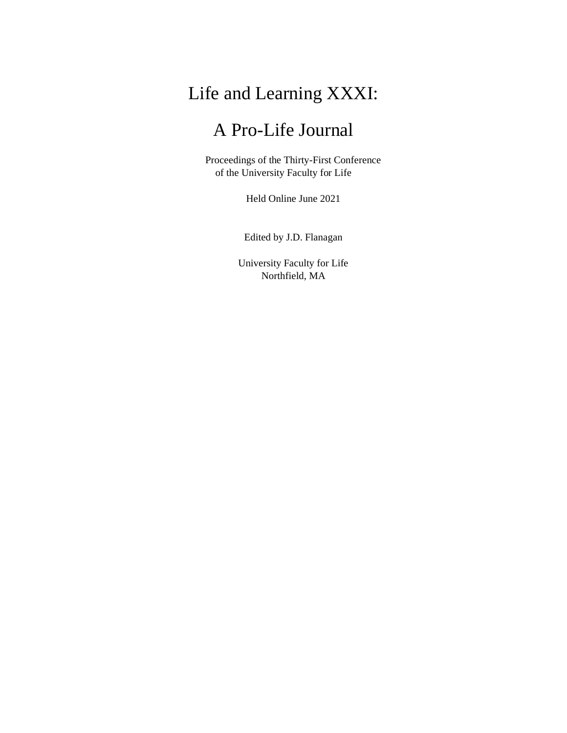# Life and Learning XXXI:

## A Pro-Life Journal

Proceedings of the Thirty-First Conference of the University Faculty for Life

Held Online June 2021

Edited by J.D. Flanagan

University Faculty for Life Northfield, MA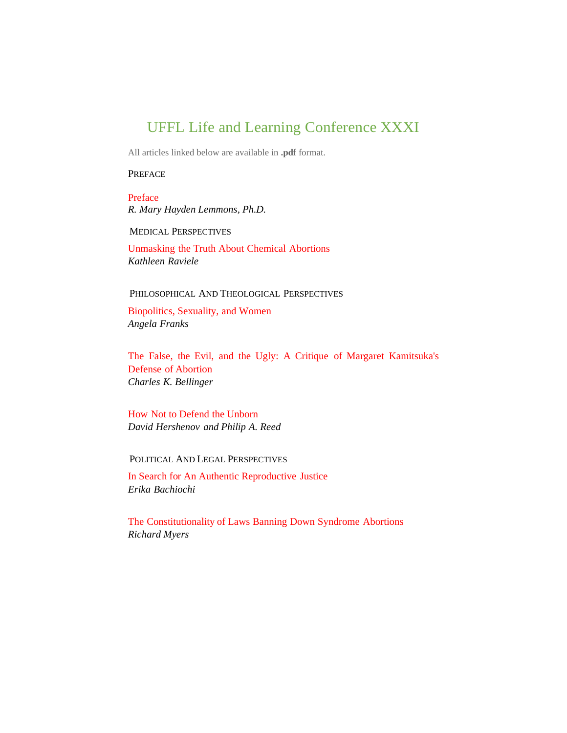### UFFL Life and Learning Conference XXXI

All articles linked below are available in **.pdf** format.

**PREFACE** 

Preface *R. Mary Hayden Lemmons, Ph.D.*

MEDICAL PERSPECTIVES

Unmasking the Truth About Chemical Abortions *Kathleen Raviele*

#### PHILOSOPHICAL AND THEOLOGICAL PERSPECTIVES

Biopolitics, Sexuality, and Women *Angela Franks*

The False, the Evil, and the Ugly: A Critique of Margaret Kamitsuka's Defense of Abortion *Charles K. Bellinger*

How Not to Defend the Unborn *David Hershenov and Philip A. Reed*

POLITICAL AND LEGAL PERSPECTIVES

In Search for An Authentic Reproductive Justice *Erika Bachiochi*

The Constitutionality of Laws Banning Down Syndrome Abortions *Richard Myers*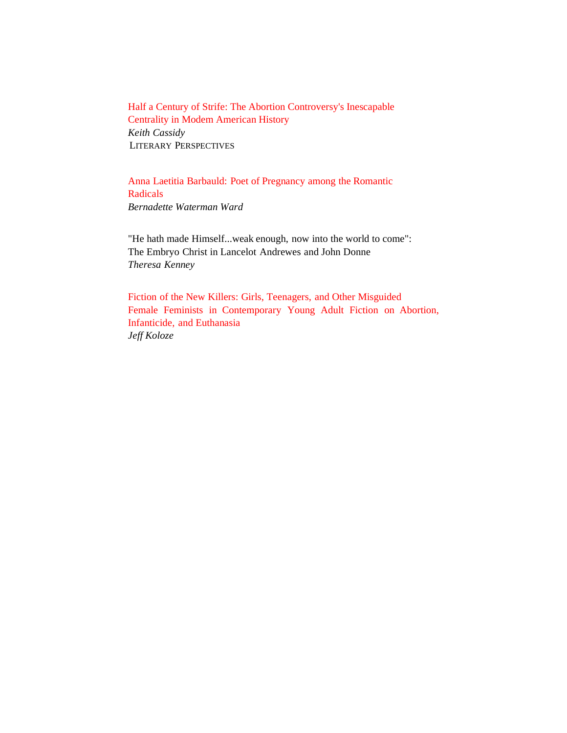Half a Century of Strife: The Abortion Controversy's Inescapable Centrality in Modem American History *Keith Cassidy* LITERARY PERSPECTIVES

Anna Laetitia Barbauld: Poet of Pregnancy among the Romantic Radicals *Bernadette Waterman Ward*

"He hath made Himself...weak enough, now into the world to come": The Embryo Christ in Lancelot Andrewes and John Donne *Theresa Kenney*

Fiction of the New Killers: Girls, Teenagers, and Other Misguided Female Feminists in Contemporary Young Adult Fiction on Abortion, Infanticide, and Euthanasia *Jeff Koloze*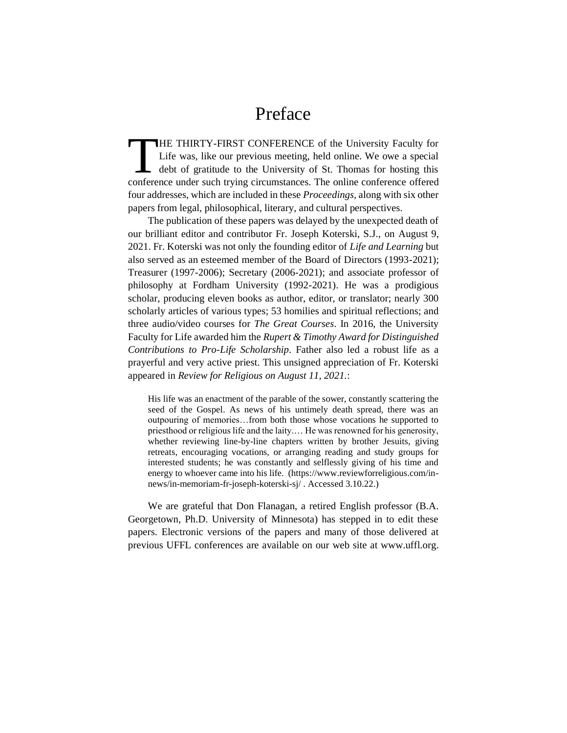### Preface

**THE THIRTY-FIRST CONFERENCE** of the University Faculty for Life was, like our previous meeting, held online. We owe a special  $\Box$  debt of gratitude to the University of St. Thomas for hosting this THE THIRTY-FIRST CONFERENCE of the University Faculty for<br>Life was, like our previous meeting, held online. We owe a special<br>debt of gratitude to the University of St. Thomas for hosting this<br>conference under such trying c four addresses, which are included in these *Proceedings,* along with six other papers from legal, philosophical, literary, and cultural perspectives.

The publication of these papers was delayed by the unexpected death of our brilliant editor and contributor Fr. Joseph Koterski, S.J., on August 9, 2021. Fr. Koterski was not only the founding editor of *Life and Learning* but also served as an esteemed member of the Board of Directors (1993-2021); Treasurer (1997-2006); Secretary (2006-2021); and associate professor of philosophy at Fordham University (1992-2021). He was a prodigious scholar, producing eleven books as author, editor, or translator; nearly 300 scholarly articles of various types; 53 homilies and spiritual reflections; and three audio/video courses for *The Great Courses*. In 2016, the University Faculty for Life awarded him the *Rupert & Timothy Award for Distinguished Contributions to Pro-Life Scholarship*. Father also led a robust life as a prayerful and very active priest. This unsigned appreciation of Fr. Koterski appeared in *Review for Religious on August 11, 2021.*:

His life was an enactment of the parable of the sower, constantly scattering the seed of the Gospel. As news of his untimely death spread, there was an outpouring of memories…from both those whose vocations he supported to priesthood or religious life and the laity.… He was renowned for his generosity, whether reviewing line-by-line chapters written by brother Jesuits, giving retreats, encouraging vocations, or arranging reading and study groups for interested students; he was constantly and selflessly giving of his time and energy to whoever came into his life. (https://www.reviewforreligious.com/innews/in-memoriam-fr-joseph-koterski-sj/ . Accessed 3.10.22.)

We are grateful that Don Flanagan, a retired English professor (B.A. Georgetown, Ph.D. University of Minnesota) has stepped in to edit these papers. Electronic versions of the papers and many of those delivered at previous UFFL conferences are available on our web site at www.uffl.org.